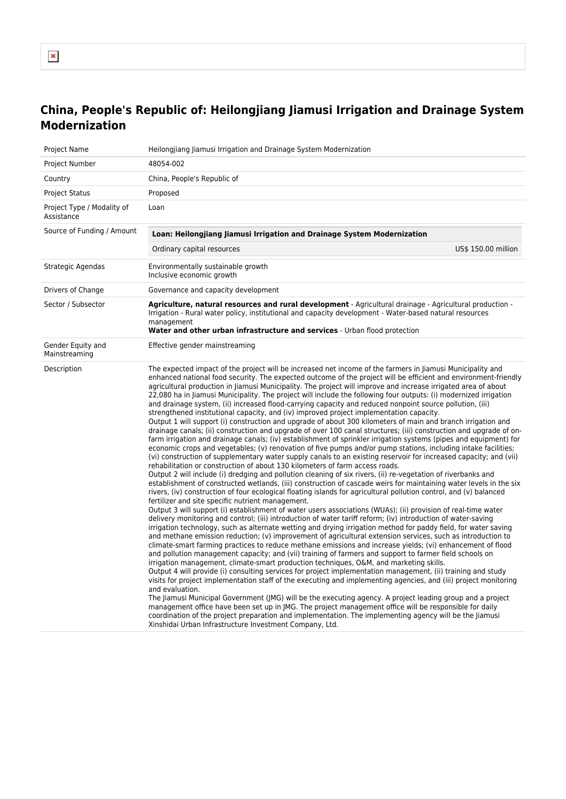## $\pmb{\times}$

## **China, People's Republic of: Heilongjiang Jiamusi Irrigation and Drainage System Modernization**

| Project Name                             | Heilongjiang Jiamusi Irrigation and Drainage System Modernization                                                                                                                                                                                                                                                                                                                                                                                                                                                                                                                                                                                                                                                                                                                                                                                                                                                                                                                                                                                                                                                                                                                                                                                                                                                                                                                                                                                                                                                                                                                                                                                                                                                                                                                                                                                                                                                                                                                                                                                                                                                                                                                                                                                                                                                                                                                                                                                                                                                                                                                                                                                                                                                                                                                                                                                                                                                                                                                                                                                                                                                                                                                                                           |                     |
|------------------------------------------|-----------------------------------------------------------------------------------------------------------------------------------------------------------------------------------------------------------------------------------------------------------------------------------------------------------------------------------------------------------------------------------------------------------------------------------------------------------------------------------------------------------------------------------------------------------------------------------------------------------------------------------------------------------------------------------------------------------------------------------------------------------------------------------------------------------------------------------------------------------------------------------------------------------------------------------------------------------------------------------------------------------------------------------------------------------------------------------------------------------------------------------------------------------------------------------------------------------------------------------------------------------------------------------------------------------------------------------------------------------------------------------------------------------------------------------------------------------------------------------------------------------------------------------------------------------------------------------------------------------------------------------------------------------------------------------------------------------------------------------------------------------------------------------------------------------------------------------------------------------------------------------------------------------------------------------------------------------------------------------------------------------------------------------------------------------------------------------------------------------------------------------------------------------------------------------------------------------------------------------------------------------------------------------------------------------------------------------------------------------------------------------------------------------------------------------------------------------------------------------------------------------------------------------------------------------------------------------------------------------------------------------------------------------------------------------------------------------------------------------------------------------------------------------------------------------------------------------------------------------------------------------------------------------------------------------------------------------------------------------------------------------------------------------------------------------------------------------------------------------------------------------------------------------------------------------------------------------------------------|---------------------|
| Project Number                           | 48054-002                                                                                                                                                                                                                                                                                                                                                                                                                                                                                                                                                                                                                                                                                                                                                                                                                                                                                                                                                                                                                                                                                                                                                                                                                                                                                                                                                                                                                                                                                                                                                                                                                                                                                                                                                                                                                                                                                                                                                                                                                                                                                                                                                                                                                                                                                                                                                                                                                                                                                                                                                                                                                                                                                                                                                                                                                                                                                                                                                                                                                                                                                                                                                                                                                   |                     |
| Country                                  | China, People's Republic of                                                                                                                                                                                                                                                                                                                                                                                                                                                                                                                                                                                                                                                                                                                                                                                                                                                                                                                                                                                                                                                                                                                                                                                                                                                                                                                                                                                                                                                                                                                                                                                                                                                                                                                                                                                                                                                                                                                                                                                                                                                                                                                                                                                                                                                                                                                                                                                                                                                                                                                                                                                                                                                                                                                                                                                                                                                                                                                                                                                                                                                                                                                                                                                                 |                     |
| <b>Project Status</b>                    | Proposed                                                                                                                                                                                                                                                                                                                                                                                                                                                                                                                                                                                                                                                                                                                                                                                                                                                                                                                                                                                                                                                                                                                                                                                                                                                                                                                                                                                                                                                                                                                                                                                                                                                                                                                                                                                                                                                                                                                                                                                                                                                                                                                                                                                                                                                                                                                                                                                                                                                                                                                                                                                                                                                                                                                                                                                                                                                                                                                                                                                                                                                                                                                                                                                                                    |                     |
| Project Type / Modality of<br>Assistance | Loan                                                                                                                                                                                                                                                                                                                                                                                                                                                                                                                                                                                                                                                                                                                                                                                                                                                                                                                                                                                                                                                                                                                                                                                                                                                                                                                                                                                                                                                                                                                                                                                                                                                                                                                                                                                                                                                                                                                                                                                                                                                                                                                                                                                                                                                                                                                                                                                                                                                                                                                                                                                                                                                                                                                                                                                                                                                                                                                                                                                                                                                                                                                                                                                                                        |                     |
| Source of Funding / Amount               | Loan: Heilongjiang Jiamusi Irrigation and Drainage System Modernization                                                                                                                                                                                                                                                                                                                                                                                                                                                                                                                                                                                                                                                                                                                                                                                                                                                                                                                                                                                                                                                                                                                                                                                                                                                                                                                                                                                                                                                                                                                                                                                                                                                                                                                                                                                                                                                                                                                                                                                                                                                                                                                                                                                                                                                                                                                                                                                                                                                                                                                                                                                                                                                                                                                                                                                                                                                                                                                                                                                                                                                                                                                                                     |                     |
|                                          | Ordinary capital resources                                                                                                                                                                                                                                                                                                                                                                                                                                                                                                                                                                                                                                                                                                                                                                                                                                                                                                                                                                                                                                                                                                                                                                                                                                                                                                                                                                                                                                                                                                                                                                                                                                                                                                                                                                                                                                                                                                                                                                                                                                                                                                                                                                                                                                                                                                                                                                                                                                                                                                                                                                                                                                                                                                                                                                                                                                                                                                                                                                                                                                                                                                                                                                                                  | US\$ 150.00 million |
| Strategic Agendas                        | Environmentally sustainable growth<br>Inclusive economic growth                                                                                                                                                                                                                                                                                                                                                                                                                                                                                                                                                                                                                                                                                                                                                                                                                                                                                                                                                                                                                                                                                                                                                                                                                                                                                                                                                                                                                                                                                                                                                                                                                                                                                                                                                                                                                                                                                                                                                                                                                                                                                                                                                                                                                                                                                                                                                                                                                                                                                                                                                                                                                                                                                                                                                                                                                                                                                                                                                                                                                                                                                                                                                             |                     |
| Drivers of Change                        | Governance and capacity development                                                                                                                                                                                                                                                                                                                                                                                                                                                                                                                                                                                                                                                                                                                                                                                                                                                                                                                                                                                                                                                                                                                                                                                                                                                                                                                                                                                                                                                                                                                                                                                                                                                                                                                                                                                                                                                                                                                                                                                                                                                                                                                                                                                                                                                                                                                                                                                                                                                                                                                                                                                                                                                                                                                                                                                                                                                                                                                                                                                                                                                                                                                                                                                         |                     |
| Sector / Subsector                       | Agriculture, natural resources and rural development - Agricultural drainage - Agricultural production -<br>Irrigation - Rural water policy, institutional and capacity development - Water-based natural resources<br>management<br>Water and other urban infrastructure and services - Urban flood protection                                                                                                                                                                                                                                                                                                                                                                                                                                                                                                                                                                                                                                                                                                                                                                                                                                                                                                                                                                                                                                                                                                                                                                                                                                                                                                                                                                                                                                                                                                                                                                                                                                                                                                                                                                                                                                                                                                                                                                                                                                                                                                                                                                                                                                                                                                                                                                                                                                                                                                                                                                                                                                                                                                                                                                                                                                                                                                             |                     |
| Gender Equity and<br>Mainstreaming       | Effective gender mainstreaming                                                                                                                                                                                                                                                                                                                                                                                                                                                                                                                                                                                                                                                                                                                                                                                                                                                                                                                                                                                                                                                                                                                                                                                                                                                                                                                                                                                                                                                                                                                                                                                                                                                                                                                                                                                                                                                                                                                                                                                                                                                                                                                                                                                                                                                                                                                                                                                                                                                                                                                                                                                                                                                                                                                                                                                                                                                                                                                                                                                                                                                                                                                                                                                              |                     |
| Description                              | The expected impact of the project will be increased net income of the farmers in Jiamusi Municipality and<br>enhanced national food security. The expected outcome of the project will be efficient and environment-friendly<br>agricultural production in Jiamusi Municipality. The project will improve and increase irrigated area of about<br>22,080 ha in Jiamusi Municipality. The project will include the following four outputs: (i) modernized irrigation<br>and drainage system, (ii) increased flood-carrying capacity and reduced nonpoint source pollution, (iii)<br>strengthened institutional capacity, and (iv) improved project implementation capacity.<br>Output 1 will support (i) construction and upgrade of about 300 kilometers of main and branch irrigation and<br>drainage canals; (ii) construction and upgrade of over 100 canal structures; (iii) construction and upgrade of on-<br>farm irrigation and drainage canals; (iv) establishment of sprinkler irrigation systems (pipes and equipment) for<br>economic crops and vegetables; (v) renovation of five pumps and/or pump stations, including intake facilities;<br>(vi) construction of supplementary water supply canals to an existing reservoir for increased capacity; and (vii)<br>rehabilitation or construction of about 130 kilometers of farm access roads.<br>Output 2 will include (i) dredging and pollution cleaning of six rivers, (ii) re-vegetation of riverbanks and<br>establishment of constructed wetlands, (iii) construction of cascade weirs for maintaining water levels in the six<br>rivers, (iv) construction of four ecological floating islands for agricultural pollution control, and (v) balanced<br>fertilizer and site specific nutrient management.<br>Output 3 will support (i) establishment of water users associations (WUAs); (ii) provision of real-time water<br>delivery monitoring and control; (iii) introduction of water tariff reform; (iv) introduction of water-saving<br>irrigation technology, such as alternate wetting and drying irrigation method for paddy field, for water saving<br>and methane emission reduction; (v) improvement of agricultural extension services, such as introduction to<br>climate-smart farming practices to reduce methane emissions and increase yields; (vi) enhancement of flood<br>and pollution management capacity; and (vii) training of farmers and support to farmer field schools on<br>irrigation management, climate-smart production techniques, O&M, and marketing skills.<br>Output 4 will provide (i) consulting services for project implementation management, (ii) training and study<br>visits for project implementation staff of the executing and implementing agencies, and (iii) project monitoring<br>and evaluation.<br>The Jiamusi Municipal Government (JMG) will be the executing agency. A project leading group and a project<br>management office have been set up in JMG. The project management office will be responsible for daily<br>coordination of the project preparation and implementation. The implementing agency will be the Jiamusi<br>Xinshidai Urban Infrastructure Investment Company, Ltd. |                     |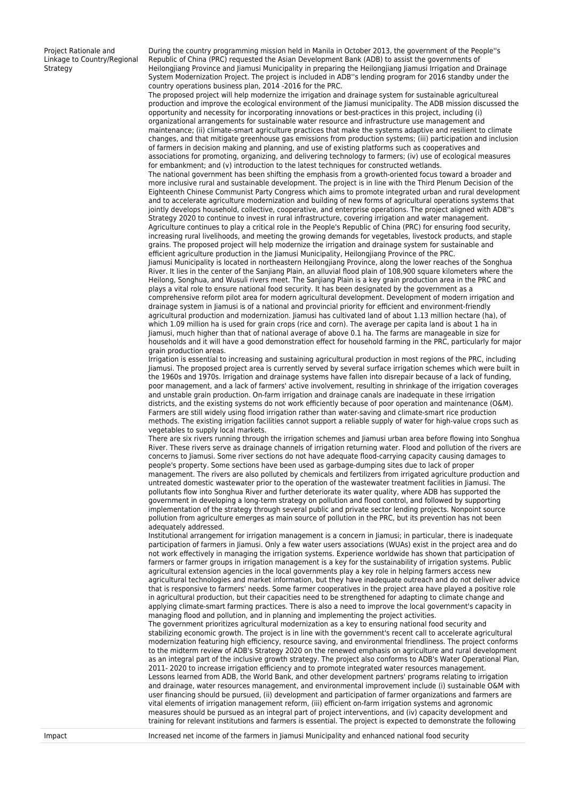Project Rationale and Linkage to Country/Regional **Strategy** 

During the country programming mission held in Manila in October 2013, the government of the People''s Republic of China (PRC) requested the Asian Development Bank (ADB) to assist the governments of Heilongjiang Province and Jiamusi Municipality in preparing the Heilongjiang Jiamusi Irrigation and Drainage System Modernization Project. The project is included in ADB''s lending program for 2016 standby under the country operations business plan, 2014 -2016 for the PRC.

The proposed project will help modernize the irrigation and drainage system for sustainable agricultureal production and improve the ecological environment of the Jiamusi municipality. The ADB mission discussed the opportunity and necessity for incorporating innovations or best-practices in this project, including (i) organizational arrangements for sustainable water resource and infrastructure use management and maintenance; (ii) climate-smart agriculture practices that make the systems adaptive and resilient to climate changes, and that mitigate greenhouse gas emissions from production systems; (iii) participation and inclusion of farmers in decision making and planning, and use of existing platforms such as cooperatives and associations for promoting, organizing, and delivering technology to farmers; (iv) use of ecological measures for embankment; and (v) introduction to the latest techniques for constructed wetlands.

The national government has been shifting the emphasis from a growth-oriented focus toward a broader and more inclusive rural and sustainable development. The project is in line with the Third Plenum Decision of the Eighteenth Chinese Communist Party Congress which aims to promote integrated urban and rural development and to accelerate agriculture modernization and building of new forms of agricultural operations systems that jointly develops household, collective, cooperative, and enterprise operations. The project aligned with ADB''s Strategy 2020 to continue to invest in rural infrastructure, covering irrigation and water management. Agriculture continues to play a critical role in the People's Republic of China (PRC) for ensuring food security, increasing rural livelihoods, and meeting the growing demands for vegetables, livestock products, and staple grains. The proposed project will help modernize the irrigation and drainage system for sustainable and efficient agriculture production in the Jiamusi Municipality, Heilongjiang Province of the PRC.

Jiamusi Municipality is located in northeastern Heilongjiang Province, along the lower reaches of the Songhua River. It lies in the center of the Sanjiang Plain, an alluvial flood plain of 108,900 square kilometers where the Heilong, Songhua, and Wusuli rivers meet. The Sanjiang Plain is a key grain production area in the PRC and plays a vital role to ensure national food security. It has been designated by the government as a comprehensive reform pilot area for modern agricultural development. Development of modern irrigation and drainage system in Jiamusi is of a national and provincial priority for efficient and environment-friendly agricultural production and modernization. Jiamusi has cultivated land of about 1.13 million hectare (ha), of which 1.09 million ha is used for grain crops (rice and corn). The average per capita land is about 1 ha in Jiamusi, much higher than that of national average of above 0.1 ha. The farms are manageable in size for households and it will have a good demonstration effect for household farming in the PRC, particularly for major grain production areas.

Irrigation is essential to increasing and sustaining agricultural production in most regions of the PRC, including Jiamusi. The proposed project area is currently served by several surface irrigation schemes which were built in the 1960s and 1970s. Irrigation and drainage systems have fallen into disrepair because of a lack of funding, poor management, and a lack of farmers' active involvement, resulting in shrinkage of the irrigation coverages and unstable grain production. On-farm irrigation and drainage canals are inadequate in these irrigation districts, and the existing systems do not work efficiently because of poor operation and maintenance (O&M). Farmers are still widely using flood irrigation rather than water-saving and climate-smart rice production methods. The existing irrigation facilities cannot support a reliable supply of water for high-value crops such as vegetables to supply local markets.

There are six rivers running through the irrigation schemes and Jiamusi urban area before flowing into Songhua River. These rivers serve as drainage channels of irrigation returning water. Flood and pollution of the rivers are concerns to Jiamusi. Some river sections do not have adequate flood-carrying capacity causing damages to people's property. Some sections have been used as garbage-dumping sites due to lack of proper management. The rivers are also polluted by chemicals and fertilizers from irrigated agriculture production and untreated domestic wastewater prior to the operation of the wastewater treatment facilities in Jiamusi. The pollutants flow into Songhua River and further deteriorate its water quality, where ADB has supported the government in developing a long-term strategy on pollution and flood control, and followed by supporting implementation of the strategy through several public and private sector lending projects. Nonpoint source pollution from agriculture emerges as main source of pollution in the PRC, but its prevention has not been adequately addressed.

Institutional arrangement for irrigation management is a concern in Jiamusi; in particular, there is inadequate participation of farmers in Jiamusi. Only a few water users associations (WUAs) exist in the project area and do not work effectively in managing the irrigation systems. Experience worldwide has shown that participation of farmers or farmer groups in irrigation management is a key for the sustainability of irrigation systems. Public agricultural extension agencies in the local governments play a key role in helping farmers access new agricultural technologies and market information, but they have inadequate outreach and do not deliver advice that is responsive to farmers' needs. Some farmer cooperatives in the project area have played a positive role in agricultural production, but their capacities need to be strengthened for adapting to climate change and applying climate-smart farming practices. There is also a need to improve the local government's capacity in managing flood and pollution, and in planning and implementing the project activities.

The government prioritizes agricultural modernization as a key to ensuring national food security and stabilizing economic growth. The project is in line with the government's recent call to accelerate agricultural modernization featuring high efficiency, resource saving, and environmental friendliness. The project conforms to the midterm review of ADB's Strategy 2020 on the renewed emphasis on agriculture and rural development as an integral part of the inclusive growth strategy. The project also conforms to ADB's Water Operational Plan, 2011- 2020 to increase irrigation efficiency and to promote integrated water resources management. Lessons learned from ADB, the World Bank, and other development partners' programs relating to irrigation and drainage, water resources management, and environmental improvement include (i) sustainable O&M with user financing should be pursued, (ii) development and participation of farmer organizations and farmers are vital elements of irrigation management reform, (iii) efficient on-farm irrigation systems and agronomic measures should be pursued as an integral part of project interventions, and (iv) capacity development and training for relevant institutions and farmers is essential. The project is expected to demonstrate the following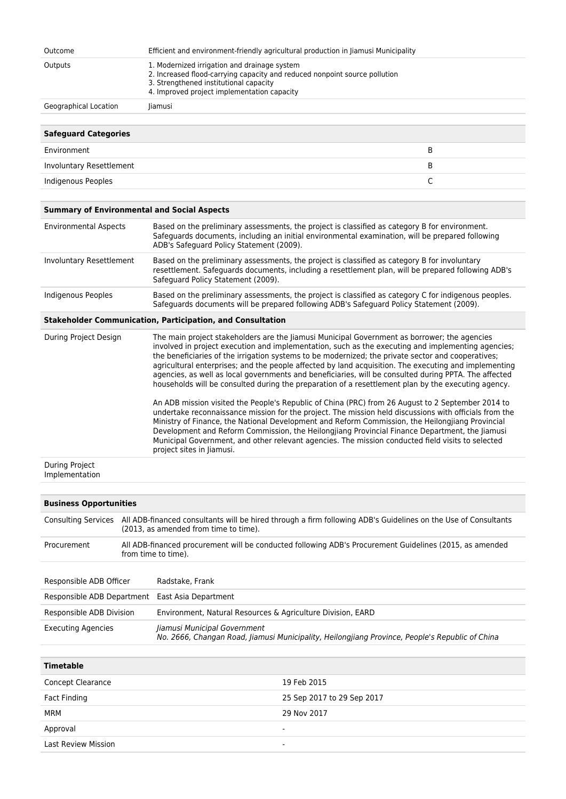| Outcome               | Efficient and environment-friendly agricultural production in Jiamusi Municipality                                                                                                                                  |
|-----------------------|---------------------------------------------------------------------------------------------------------------------------------------------------------------------------------------------------------------------|
| Outputs               | 1. Modernized irrigation and drainage system<br>2. Increased flood-carrying capacity and reduced nonpoint source pollution<br>3. Strengthened institutional capacity<br>4. Improved project implementation capacity |
| Geographical Location | liamusi                                                                                                                                                                                                             |
|                       |                                                                                                                                                                                                                     |

| <b>Safeguard Categories</b> |   |
|-----------------------------|---|
| Environment                 | в |
| Involuntary Resettlement    |   |
| Indigenous Peoples          |   |

| <b>Summary of Environmental and Social Aspects</b> |
|----------------------------------------------------|
|----------------------------------------------------|

| <b>Environmental Aspects</b> | Based on the preliminary assessments, the project is classified as category B for environment.<br>Safeguards documents, including an initial environmental examination, will be prepared following<br>ADB's Safeguard Policy Statement (2009). |
|------------------------------|------------------------------------------------------------------------------------------------------------------------------------------------------------------------------------------------------------------------------------------------|
| Involuntary Resettlement     | Based on the preliminary assessments, the project is classified as category B for involuntary<br>resettlement. Safeguards documents, including a resettlement plan, will be prepared following ADB's<br>Safeguard Policy Statement (2009).     |
| Indigenous Peoples           | Based on the preliminary assessments, the project is classified as category C for indigenous peoples.<br>Safeguards documents will be prepared following ADB's Safeguard Policy Statement (2009).                                              |

## **Stakeholder Communication, Participation, and Consultation**

| During Project Design | The main project stakeholders are the Jiamusi Municipal Government as borrower; the agencies<br>involved in project execution and implementation, such as the executing and implementing agencies;<br>the beneficiaries of the irrigation systems to be modernized; the private sector and cooperatives;<br>agricultural enterprises; and the people affected by land acquisition. The executing and implementing<br>agencies, as well as local governments and beneficiaries, will be consulted during PPTA. The affected<br>households will be consulted during the preparation of a resettlement plan by the executing agency.<br>An ADB mission visited the People's Republic of China (PRC) from 26 August to 2 September 2014 to |
|-----------------------|----------------------------------------------------------------------------------------------------------------------------------------------------------------------------------------------------------------------------------------------------------------------------------------------------------------------------------------------------------------------------------------------------------------------------------------------------------------------------------------------------------------------------------------------------------------------------------------------------------------------------------------------------------------------------------------------------------------------------------------|
|                       | undertake reconnaissance mission for the project. The mission held discussions with officials from the<br>Ministry of Finance, the National Development and Reform Commission, the Heilongjiang Provincial<br>Development and Reform Commission, the Heilongjiang Provincial Finance Department, the Jiamusi<br>Municipal Government, and other relevant agencies. The mission conducted field visits to selected<br>project sites in Jiamusi.                                                                                                                                                                                                                                                                                         |
| <b>During Project</b> |                                                                                                                                                                                                                                                                                                                                                                                                                                                                                                                                                                                                                                                                                                                                        |

Implementation

| <b>Business Opportunities</b> |  |                                                                                                                                                         |  |
|-------------------------------|--|---------------------------------------------------------------------------------------------------------------------------------------------------------|--|
| <b>Consulting Services</b>    |  | All ADB-financed consultants will be hired through a firm following ADB's Guidelines on the Use of Consultants<br>(2013, as amended from time to time). |  |
| Procurement                   |  | All ADB-financed procurement will be conducted following ADB's Procurement Guidelines (2015, as amended<br>from time to time).                          |  |
|                               |  |                                                                                                                                                         |  |
| Responsible ADB Officer       |  | Radstake, Frank                                                                                                                                         |  |
| Responsible ADB Department    |  | East Asia Department                                                                                                                                    |  |
| Responsible ADB Division      |  | Environment, Natural Resources & Agriculture Division, EARD                                                                                             |  |
| <b>Executing Agencies</b>     |  | Jiamusi Municipal Government<br>No. 2666, Changan Road, Jiamusi Municipality, Heilongjiang Province, People's Republic of China                         |  |

| <b>Timetable</b>           |                            |
|----------------------------|----------------------------|
| Concept Clearance          | 19 Feb 2015                |
| Fact Finding               | 25 Sep 2017 to 29 Sep 2017 |
| MRM                        | 29 Nov 2017                |
| Approval                   | ۰                          |
| <b>Last Review Mission</b> |                            |